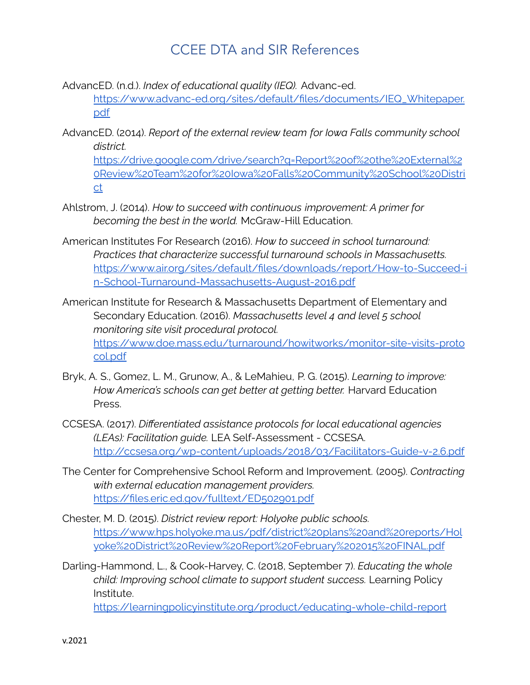## CCEE DTA and SIR References

AdvancED. (n.d.). *Index of educational quality (IEQ).* Advanc-ed.

[https://www.advanc-ed.org/sites/default/files/documents/IEQ\\_Whitepaper.](https://www.advanc-ed.org/sites/default/files/documents/IEQ_Whitepaper.pdf) [pdf](https://www.advanc-ed.org/sites/default/files/documents/IEQ_Whitepaper.pdf)

AdvancED. (2014). *Report of the external review team for Iowa Falls community school district.*

[https://drive.google.com/drive/search?q=Report%20of%20the%20External%2](https://drive.google.com/drive/search?q=Report%20of%20the%20External%20Review%20Team%20for%20Iowa%20Falls%20Community%20School%20District) [0Review%20Team%20for%20Iowa%20Falls%20Community%20School%20Distri](https://drive.google.com/drive/search?q=Report%20of%20the%20External%20Review%20Team%20for%20Iowa%20Falls%20Community%20School%20District) [ct](https://drive.google.com/drive/search?q=Report%20of%20the%20External%20Review%20Team%20for%20Iowa%20Falls%20Community%20School%20District)

- Ahlstrom, J. (2014). *How to succeed with continuous improvement: A primer for becoming the best in the world.* McGraw-Hill Education.
- American Institutes For Research (2016). *How to succeed in school turnaround: Practices that characterize successful turnaround schools in Massachusetts.* [https://www.air.org/sites/default/files/downloads/report/How-to-Succeed-i](https://www.air.org/sites/default/files/downloads/report/How-to-Succeed-in-School-Turnaround-Massachusetts-August-2016.pdf) [n-School-Turnaround-Massachusetts-August-2016.pdf](https://www.air.org/sites/default/files/downloads/report/How-to-Succeed-in-School-Turnaround-Massachusetts-August-2016.pdf)
- American Institute for Research & Massachusetts Department of Elementary and Secondary Education. (2016). *Massachusetts level 4 and level 5 school monitoring site visit procedural protocol.* [https://www.doe.mass.edu/turnaround/howitworks/monitor-site-visits-proto](https://www.doe.mass.edu/turnaround/howitworks/monitor-site-visits-protocol.pdf) [col.pdf](https://www.doe.mass.edu/turnaround/howitworks/monitor-site-visits-protocol.pdf)
- Bryk, A. S., Gomez, L. M., Grunow, A., & LeMahieu, P. G. (2015). *Learning to improve: How America's schools can get better at getting better.* Harvard Education Press.
- CCSESA. (2017). *Differentiated assistance protocols for local educational agencies (LEAs): Facilitation guide.* LEA Self-Assessment - CCSESA. <http://ccsesa.org/wp-content/uploads/2018/03/Facilitators-Guide-v-2.6.pdf>
- The Center for Comprehensive School Reform and Improvement. (2005). *Contracting with external education management providers.* <https://files.eric.ed.gov/fulltext/ED502901.pdf>
- Chester, M. D. (2015). *District review report: Holyoke public schools.* [https://www.hps.holyoke.ma.us/pdf/district%20plans%20and%20reports/Hol](https://www.hps.holyoke.ma.us/pdf/district%20plans%20and%20reports/Holyoke%20District%20Review%20Report%20February%202015%20FINAL.pdf) [yoke%20District%20Review%20Report%20February%202015%20FINAL.pdf](https://www.hps.holyoke.ma.us/pdf/district%20plans%20and%20reports/Holyoke%20District%20Review%20Report%20February%202015%20FINAL.pdf)
- Darling-Hammond, L., & Cook-Harvey, C. (2018, September 7). *Educating the whole child: Improving school climate to support student success.* Learning Policy Institute.

<https://learningpolicyinstitute.org/product/educating-whole-child-report>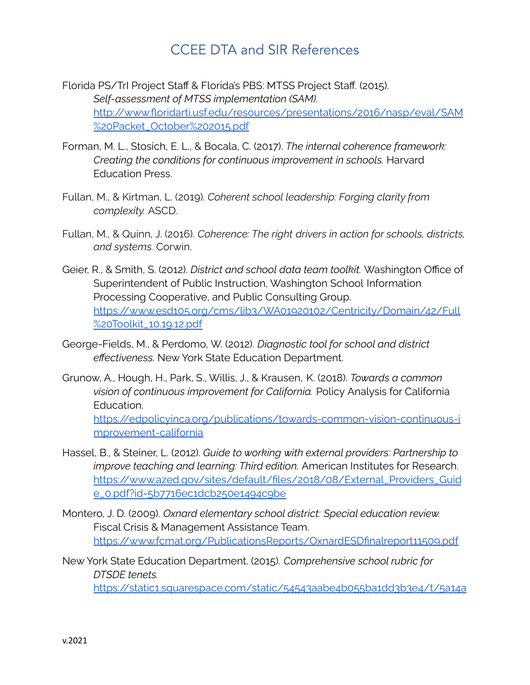## CCEE DTA and SIR References

- Florida PS/TrI Project Staff & Florida's PBS: MTSS Project Staff. (2015). *Self-assessment of MTSS implementation (SAM).* [http://www.floridarti.usf.edu/resources/presentations/2016/nasp/eval/SAM](http://www.floridarti.usf.edu/resources/presentations/2016/nasp/eval/SAM%20Packet_October%202015.pdf) [%20Packet\\_October%202015.pdf](http://www.floridarti.usf.edu/resources/presentations/2016/nasp/eval/SAM%20Packet_October%202015.pdf)
- Forman, M. L., Stosich, E. L., & Bocala, C. (2017). *The internal coherence framework: Creating the conditions for continuous improvement in schools.* Harvard Education Press.
- Fullan, M., & Kirtman, L. (2019). *Coherent school leadership: Forging clarity from complexity.* ASCD.
- Fullan, M., & Quinn, J. (2016). *Coherence: The right drivers in action for schools, districts, and systems.* Corwin.
- Geier, R., & Smith, S. (2012). *District and school data team toolkit.* Washington Office of Superintendent of Public Instruction, Washington School Information Processing Cooperative, and Public Consulting Group. [https://www.esd105.org/cms/lib3/WA01920102/Centricity/Domain/42/Full](https://www.esd105.org/cms/lib3/WA01920102/Centricity/Domain/42/Full%20Toolkit_10.19.12.pdf) [%20Toolkit\\_10.19.12.pdf](https://www.esd105.org/cms/lib3/WA01920102/Centricity/Domain/42/Full%20Toolkit_10.19.12.pdf)
- George-Fields, M., & Perdomo, W. (2012). *Diagnostic tool for school and district effectiveness.* New York State Education Department.
- Grunow, A., Hough, H., Park, S., Willis, J., & Krausen, K. (2018). *Towards a common vision of continuous improvement for California.* Policy Analysis for California Education. [https://edpolicyinca.org/publications/towards-common-vision-continuous-i](https://edpolicyinca.org/publications/towards-common-vision-continuous-improvement-california) [mprovement-california](https://edpolicyinca.org/publications/towards-common-vision-continuous-improvement-california)
- Hassel, B., & Steiner, L. (2012). *Guide to working with external providers: Partnership to improve teaching and learning: Third edition.* American Institutes for Research. [https://www.azed.gov/sites/default/files/2018/08/External\\_Providers\\_Guid](https://www.azed.gov/sites/default/files/2018/08/External_Providers_Guide_0.pdf?id=5b7716ec1dcb250e1494c9be) [e\\_0.pdf?id=5b7716ec1dcb250e1494c9be](https://www.azed.gov/sites/default/files/2018/08/External_Providers_Guide_0.pdf?id=5b7716ec1dcb250e1494c9be)
- Montero, J. D. (2009). *Oxnard elementary school district: Special education review.* Fiscal Crisis & Management Assistance Team. <https://www.fcmat.org/PublicationsReports/OxnardESDfinalreport11509.pdf>
- New York State Education Department. (2015). *Comprehensive school rubric for DTSDE tenets.*

[https://static1.squarespace.com/static/54543aabe4b055ba1dd3b3e4/t/5a14a](https://static1.squarespace.com/static/54543aabe4b055ba1dd3b3e4/t/5a14a1e453450a59dc545072/1511301605846/2015-16DTSDEComprehensiveSchoolRubric.pdf)